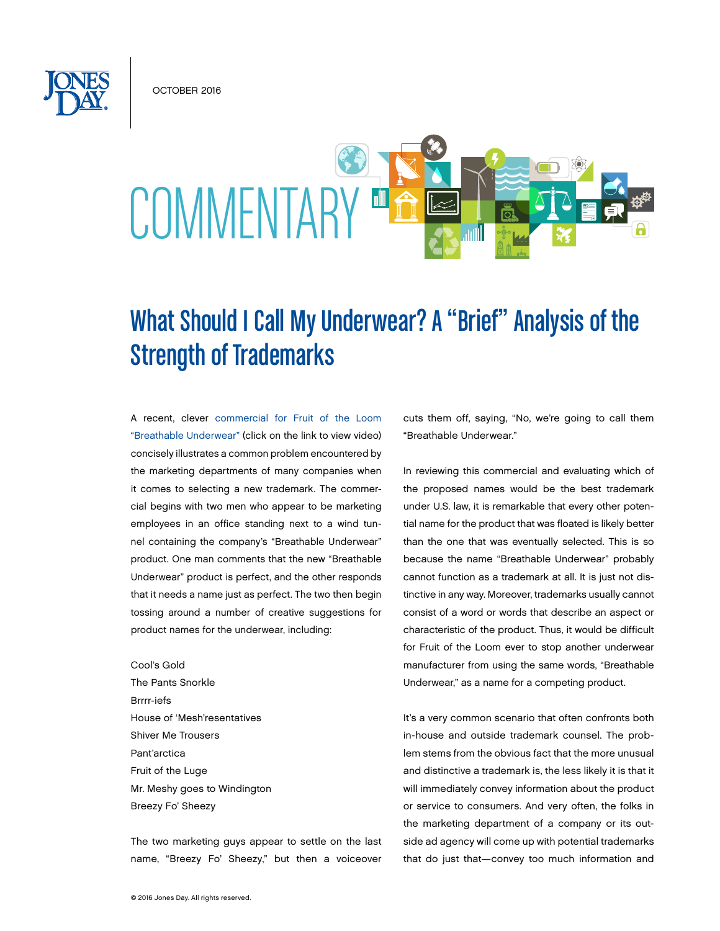October 2016



# What Should I Call My Underwear? A "Brief" Analysis of the Strength of Trademarks

A recent, clever [commercial for Fruit of the Loom](https://www.ispot.tv/ad/Agqy/fruit-of-the-loom-breathable-underwear-wind-tunnel)  ["Breathable Underwear"](https://www.ispot.tv/ad/Agqy/fruit-of-the-loom-breathable-underwear-wind-tunnel) (click on the link to view video) concisely illustrates a common problem encountered by the marketing departments of many companies when it comes to selecting a new trademark. The commercial begins with two men who appear to be marketing employees in an office standing next to a wind tunnel containing the company's "Breathable Underwear" product. One man comments that the new "Breathable Underwear" product is perfect, and the other responds that it needs a name just as perfect. The two then begin tossing around a number of creative suggestions for product names for the underwear, including:

Cool's Gold The Pants Snorkle Brrrr-iefs House of 'Mesh'resentatives Shiver Me Trousers Pant'arctica Fruit of the Luge Mr. Meshy goes to Windington Breezy Fo' Sheezy

The two marketing guys appear to settle on the last name, "Breezy Fo' Sheezy," but then a voiceover cuts them off, saying, "No, we're going to call them "Breathable Underwear."

In reviewing this commercial and evaluating which of the proposed names would be the best trademark under U.S. law, it is remarkable that every other potential name for the product that was floated is likely better than the one that was eventually selected. This is so because the name "Breathable Underwear" probably cannot function as a trademark at all. It is just not distinctive in any way. Moreover, trademarks usually cannot consist of a word or words that describe an aspect or characteristic of the product. Thus, it would be difficult for Fruit of the Loom ever to stop another underwear manufacturer from using the same words, "Breathable Underwear," as a name for a competing product.

It's a very common scenario that often confronts both in-house and outside trademark counsel. The problem stems from the obvious fact that the more unusual and distinctive a trademark is, the less likely it is that it will immediately convey information about the product or service to consumers. And very often, the folks in the marketing department of a company or its outside ad agency will come up with potential trademarks that do just that—convey too much information and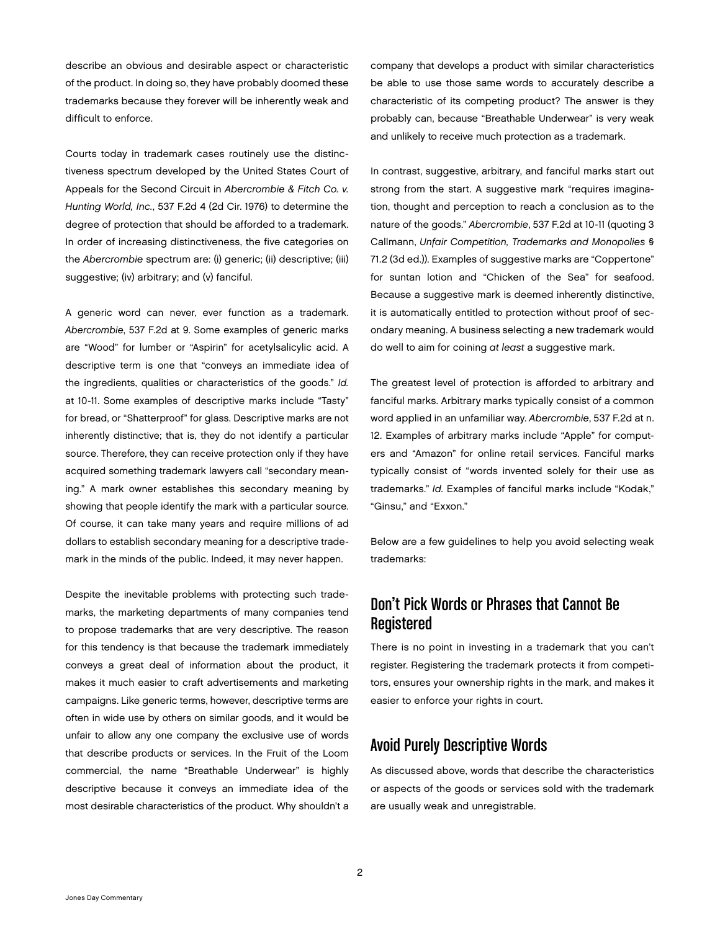describe an obvious and desirable aspect or characteristic of the product. In doing so, they have probably doomed these trademarks because they forever will be inherently weak and difficult to enforce.

Courts today in trademark cases routinely use the distinctiveness spectrum developed by the United States Court of Appeals for the Second Circuit in *Abercrombie & Fitch Co. v. Hunting World, Inc.*, 537 F.2d 4 (2d Cir. 1976) to determine the degree of protection that should be afforded to a trademark. In order of increasing distinctiveness, the five categories on the *Abercrombie* spectrum are: (i) generic; (ii) descriptive; (iii) suggestive; (iv) arbitrary; and (v) fanciful.

A generic word can never, ever function as a trademark. *Abercrombie*, 537 F.2d at 9. Some examples of generic marks are "Wood" for lumber or "Aspirin" for acetylsalicylic acid. A descriptive term is one that "conveys an immediate idea of the ingredients, qualities or characteristics of the goods." *Id.* at 10-11. Some examples of descriptive marks include "Tasty" for bread, or "Shatterproof" for glass. Descriptive marks are not inherently distinctive; that is, they do not identify a particular source. Therefore, they can receive protection only if they have acquired something trademark lawyers call "secondary meaning." A mark owner establishes this secondary meaning by showing that people identify the mark with a particular source. Of course, it can take many years and require millions of ad dollars to establish secondary meaning for a descriptive trademark in the minds of the public. Indeed, it may never happen.

Despite the inevitable problems with protecting such trademarks, the marketing departments of many companies tend to propose trademarks that are very descriptive. The reason for this tendency is that because the trademark immediately conveys a great deal of information about the product, it makes it much easier to craft advertisements and marketing campaigns. Like generic terms, however, descriptive terms are often in wide use by others on similar goods, and it would be unfair to allow any one company the exclusive use of words that describe products or services. In the Fruit of the Loom commercial, the name "Breathable Underwear" is highly descriptive because it conveys an immediate idea of the most desirable characteristics of the product. Why shouldn't a

company that develops a product with similar characteristics be able to use those same words to accurately describe a characteristic of its competing product? The answer is they probably can, because "Breathable Underwear" is very weak and unlikely to receive much protection as a trademark.

In contrast, suggestive, arbitrary, and fanciful marks start out strong from the start. A suggestive mark "requires imagination, thought and perception to reach a conclusion as to the nature of the goods." *Abercrombie*, 537 F.2d at 10-11 (quoting 3 Callmann, *Unfair Competition, Trademarks and Monopolies* § 71.2 (3d ed.)). Examples of suggestive marks are "Coppertone" for suntan lotion and "Chicken of the Sea" for seafood. Because a suggestive mark is deemed inherently distinctive, it is automatically entitled to protection without proof of secondary meaning. A business selecting a new trademark would do well to aim for coining *at least* a suggestive mark.

The greatest level of protection is afforded to arbitrary and fanciful marks. Arbitrary marks typically consist of a common word applied in an unfamiliar way. *Abercrombie*, 537 F.2d at n. 12. Examples of arbitrary marks include "Apple" for computers and "Amazon" for online retail services. Fanciful marks typically consist of "words invented solely for their use as trademarks." *Id.* Examples of fanciful marks include "Kodak," "Ginsu," and "Exxon."

Below are a few guidelines to help you avoid selecting weak trademarks:

# Don't Pick Words or Phrases that Cannot Be Registered

There is no point in investing in a trademark that you can't register. Registering the trademark protects it from competitors, ensures your ownership rights in the mark, and makes it easier to enforce your rights in court.

#### Avoid Purely Descriptive Words

As discussed above, words that describe the characteristics or aspects of the goods or services sold with the trademark are usually weak and unregistrable.